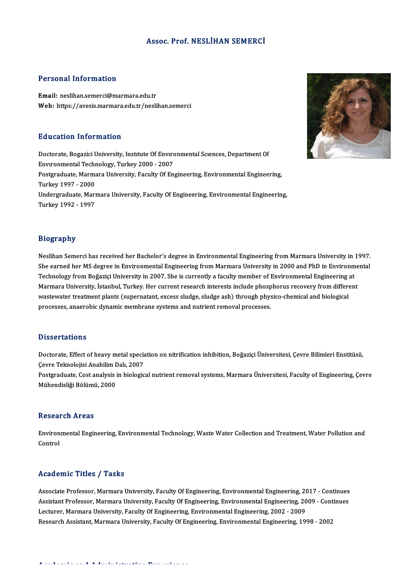### Assoc. Prof.NESLİHAN SEMERCİ

#### Personal Information

Email: neslihan.semerci@marmara.edu.tr Web: https://avesis.marmara.edu.tr/neslihan.semerci

#### Education Information

Doctorate, Bogazici University, Institute Of Environmental Sciences, Department Of Eu acation Thromation<br>Doctorate, Bogazici University, Institute Of Enviro<br>Environmental Technology, Turkey 2000 - 2007<br>Postanoduate Marmara University, Eesulty Of En Postgraduate, Marmara University, Faculty Of Engineering, Environmental Engineering,<br>Turkey 1997 - 2000 Environmental Techi<br>Postgraduate, Marma<br>Turkey 1997 - 2000<br>Undergraduate Mari Postgraduate, Marmara University, Faculty Of Engineering, Environmental Engineering,<br>Turkey 1997 - 2000<br>Undergraduate, Marmara University, Faculty Of Engineering, Environmental Engineering,<br>Turkey 1992 - 1997 Turkey 1997 - 2000<br>Undergraduate, Marı<br>Turkey 1992 - 1997

# Biography

**Biography<br>Neslihan Semerci has received her Bachelor's degree in Environmental Engineering from Marmara University in 1997.**<br>She serned her MS degree in Environmental Engineering from Marmara University in 2000 and PhD in Stograpny<br>Neslihan Semerci has received her Bachelor's degree in Environmental Engineering from Marmara University in 1997<br>She earned her MS degree in Environmental Engineering from Marmara University in 2000 and PhD in En She earned her MS degree in Environmental Engineering from Marmara University in 2000 and PhD in Environmental<br>Technology from Boğaziçi University in 2007. She is currently a faculty member of Environmental Engineering at She earned her MS degree in Environmental Engineering from Marmara University in 2000 and PhD in Environme<br>Technology from Boğaziçi University in 2007. She is currently a faculty member of Environmental Engineering at<br>Marm Technology from Boğaziçi University in 2007. She is currently a faculty member of Environmental Engineering and<br>Marmara University, İstanbul, Turkey. Her current research interests include phosphorus recovery from differe<br> wastewater treatment plants (supernatant, excess sludge, sludge ash) through physico-chemical and biological<br>processes, anaerobic dynamic membrane systems and nutrient removal processes.

#### **Dissertations**

Dissertations<br>Doctorate, Effect of heavy metal speciation on nitrification inhibition, Boğaziçi Üniversitesi, Çevre Bilimleri Enstitüsü,<br>Cevre Telmelejisi Anabilim Delu 2007 *Existen dialities*<br>Doctorate, Effect of heavy metal specia<br>Cevre Teknolojisi Anabilim Dalı, 2007<br>Postanaduate Cest analysis in biologia Doctorate, Effect of heavy metal speciation on nitrification inhibition, Boğaziçi Üniversitesi, Çevre Bilimleri Enstitüsü,<br>Çevre Teknolojisi Anabilim Dalı, 2007<br>Postgraduate, Cost analysis in biological nutrient removal sy

Çevre Teknolojisi Anabilim I<br>Postgraduate, Cost analysis i<br>Mühendisliği Bölümü, 2000 Mühendisliği Bölümü, 2000<br>Research Areas

Environmental Engineering, Environmental Technology, Waste Water Collection and Treatment, Water Pollution and Control

### Academic Titles / Tasks

Academic Titles / Tasks<br>Associate Professor, Marmara University, Faculty Of Engineering, Environmental Engineering, 2017 - Continues<br>Assistant Professor, Marmara University, Faculty Of Engineering, Environmental Engineerin Associate Professor, Marmara University, Faculty Of Engineering, Environmental Engineering, 2017 - Continues<br>Assistant Professor, Marmara University, Faculty Of Engineering, Environmental Engineering, 2009 - Continues<br>Lect Associate Professor, Marmara University, Faculty Of Engineering, Environmental Engineering, 20<br>Assistant Professor, Marmara University, Faculty Of Engineering, Environmental Engineering, 20<br>Lecturer, Marmara University, Fa Assistant Professor, Marmara University, Faculty Of Engineering, Environmental Engineering, 2009 - Continues<br>Lecturer, Marmara University, Faculty Of Engineering, Environmental Engineering, 2002 - 2009<br>Research Assistant,

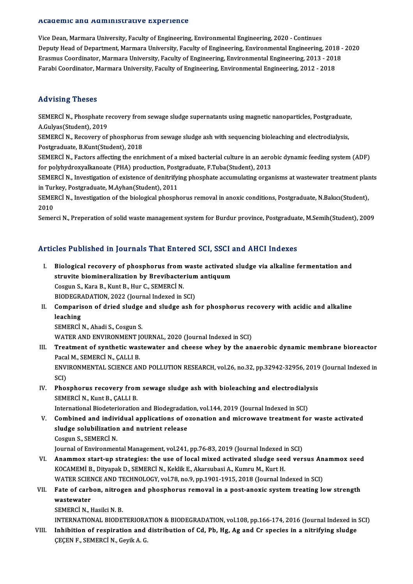#### Academic and Administrative Experience

Vice Dean, Marmara University, Faculty of Engineering, Environmental Engineering, 2020 - Continues recuremme and rrammmeerative Enperience<br>Vice Dean, Marmara University, Faculty of Engineering, Environmental Engineering, 2020 - Continues<br>Deputy Head of Department, Marmara University, Faculty of Engineering, Environmenta Vice Dean, Marmara University, Faculty of Engineering, Environmental Engineering, 2020 - Continues<br>Deputy Head of Department, Marmara University, Faculty of Engineering, Environmental Engineering, 2018 -<br>Erasmus Coordinato Erasmus Coordinator, Marmara University, Faculty of Engineering, Environmental Engineering, 2013 - 2018<br>Farabi Coordinator, Marmara University, Faculty of Engineering, Environmental Engineering, 2012 - 2018

# Advising Theses

Advising Theses<br>SEMERCİN., Phosphate recovery from sewage sludge supernatants using magnetic nanoparticles, Postgraduate,<br>A Gulvas(Student), 2019 A.Gulyas (SEMERCI N., Phosphate re<br>A.Gulyas (Student), 2019<br>SEMERCI N., Bosovowy of SEMERCİ N., Phosphate recovery from sewage sludge supernatants using magnetic nanoparticles, Postgraduate<br>A.Gulyas(Student), 2019<br>SEMERCİ N., Recovery of phosphorus from sewage sludge ash with sequencing bioleaching and el

A.Gulyas(Student), 2019<br>SEMERCI N., Recovery of phosphorus<br>Postgraduate, B.Kunt(Student), 2018<br>SEMERCI N., Fostors offecting the enri SEMERCİN., Recovery of phosphorus from sewage sludge ash with sequencing bioleaching and electrodialysis,<br>Postgraduate, B.Kunt(Student), 2018<br>SEMERCİN., Factors affecting the enrichment of a mixed bacterial culture in an a

Fostgraduate, B.Kunt(Student), 2018<br>SEMERCİ N., Factors affecting the enrichment of a mixed bacterial culture in an aerobic dynamic feeding system (ADF)<br>for polyhydroxyalkanoate (PHA) production, Postgraduate, F.Tuba(Stude SEMERCİN., Factors affecting the enrichment of a mixed bacterial culture in an aerobic dynamic feeding system (ADF)<br>for polyhydroxyalkanoate (PHA) production, Postgraduate, F.Tuba(Student), 2013<br>SEMERCİN., Investigation of

for polyhydroxyalkanoate (PHA) production, Post<br>SEMERCI N., Investigation of existence of denitrifyi<br>in Turkey, Postgraduate, M.Ayhan(Student), 2011<br>SEMERCI N., Investigation of the biological pheaph SEMERCİ N., Investigation of existence of denitrifying phosphate accumulating organisms at wastewater treatment plan<br>in Turkey, Postgraduate, M.Ayhan(Student), 2011<br>SEMERCİ N., Investigation of the biological phosphorus re

in Turkey, Postgraduate, M.Ayhan(Student), 2011<br>SEMERCİ N., Investigation of the biological phosphorus removal in anoxic conditions, Postgraduate, N.Bakıcı(Student),<br>2010

Semerci N., Preperation of solid waste management system for Burdur province, Postgraduate, M.Semih(Student), 2009

# Articles Published in Journals That Entered SCI, SSCI and AHCI Indexes

rticles Published in Journals That Entered SCI, SSCI and AHCI Indexes<br>I. Biological recovery of phosphorus from waste activated sludge via alkaline fermentation and<br>Atuvite biomineralization by Previbedarium artiquum struct a distincte in journalistical struct out out, bout,<br>Biological recovery of phosphorus from waste activated<br>struvite biomineralization by Brevibacterium antiquum struvite biomineralization by Brevibacterium antiquum<br>Cosgun S., Kara B., Kunt B., Hur C., SEMERCİ N. Cosgun S., Kara B., Kunt B., Hur C., SEMERCİ N.<br>BIODEGRADATION, 2022 (Journal Indexed in SCI)<br>II. Comparison of dried sludge and sludge ash for phosphorus recovery with acidic and alkaline<br>leaching

BIODEGRADATION, 2022 (Journal Indexed in SCI)

BIODEGRA<br>Comparis<br>leaching<br>SEMEPCI Comparison of dried sludge<br>leaching<br>SEMERCÌ N., Ahadi S., Cosgun S.<br>WATER AND ENVIRONMENT IO leaching<br>SEMERCİ N., Ahadi S., Cosgun S.<br>WATER AND ENVIRONMENT JOURNAL, 2020 (Journal Indexed in SCI)<br>Treatment of synthetis westewster and shasse whoy by the en

SEMERCİ N., Ahadi S., Cosgun S.<br>WATER AND ENVIRONMENT JOURNAL, 2020 (Journal Indexed in SCI)<br>III. Treatment of synthetic wastewater and cheese whey by the anaerobic dynamic membrane bioreactor<br>Pacal M., SEMERCİ N., CAL WATER AND ENVIRONMENT J<br>Treatment of synthetic was<br>Pacal M., SEMERCİ N., ÇALLI B.<br>ENVIRONMENTAL SCIENCE AN Treatment of synthetic wastewater and cheese whey by the anaerobic dynamic membrane bioreactor<br>Pacal M., SEMERCİ N., ÇALLI B.<br>ENVIRONMENTAL SCIENCE AND POLLUTION RESEARCH, vol.26, no.32, pp.32942-32956, 2019 (Journal Index Paca<br>ENVI<br>SCI)<br>Phot

# ENVIRONMENTAL SCIENCE AND POLLUTION RESEARCH, vol.26, no.32, pp.32942-32956, 2019<br>SCI)<br>IV. Phosphorus recovery from sewage sludge ash with bioleaching and electrodialysis<br>SEMERCLN, Kunt P. CALLLE SCI)<br>Phosphorus recovery from sewage sludge ash with bioleaching and electrodialy<br>SEMERCİN., Kunt B., ÇALLI B.<br>International Biodeterioration and Biodegradation, vol.144, 2019 (Journal Indexed in SCI) Phosphorus recovery from sewage sludge ash with bioleaching and electrodialy<br>SEMERCI N., Kunt B., ÇALLI B.<br>International Biodeterioration and Biodegradation, vol.144, 2019 (Journal Indexed in SCI)<br>Combined and individual e

V. Combined and individual applications of ozonation andmicrowave treatment for waste activated International Biodeterioration and Biodegradati<br>Combined and individual applications of o<br>sludge solubilization and nutrient release Combined and indiv<br>sludge solubilization<br>Cosgun S., SEMERCİ N.<br>Journal of Environmen sludge solubilization and nutrient release<br>Cosgun S., SEMERCİ N.<br>Journal of Environmental Management, vol.241, pp.76-83, 2019 (Journal Indexed in SCI)<br>Anammov start un strategies: the use of local mixed astivated sludge se

Cosgun S., SEMERCİ N.<br>Journal of Environmental Management, vol.241, pp.76-83, 2019 (Journal Indexed in SCI)<br>VI. Anammox start-up strategies: the use of local mixed activated sludge seed versus Anammox seed<br>VOCAMEMI P. Dity Journal of Environmental Management, vol.241, pp.76-83, 2019 (Journal Indexed i<br>Anammox start-up strategies: the use of local mixed activated sludge see<br>KOCAMEMİ B., Dityapak D., SEMERCİ N., Keklik E., Akarsubasi A., Kumru Anammox start-up strategies: the use of local mixed activated sludge seed versus An<br>KOCAMEMI B., Dityapak D., SEMERCI N., Keklik E., Akarsubasi A., Kumru M., Kurt H.<br>WATER SCIENCE AND TECHNOLOGY, vol.78, no.9, pp.1901-1915 KOCAMEMİ B., Dityapak D., SEMERCİ N., Keklik E., Akarsubasi A., Kumru M., Kurt H.<br>WATER SCIENCE AND TECHNOLOGY, vol.78, no.9, pp.1901-1915, 2018 (Journal Indexed in SCI)<br>VII. Fate of carbon, nitrogen and phosphorus removal

# WATER SCIEN<br>Fate of carb<br>wastewater<br>SEMERCI N Fate of carbon, nitrog<br>wastewater<br>SEMERCİ N., Hasilci N. B.<br>INTERNATIONAL RIODE' wastewater<br>SEMERCİ N., Hasilci N. B.<br>INTERNATIONAL BIODETERIORATION & BIODEGRADATION, vol.108, pp.166-174, 2016 (Journal Indexed in SCI)<br>Inhibition of respiration and distribution of Cd. Pb. Hg. Ag and Cr.spesies in a pitr

SEMERCI N., Hasilci N. B.<br>INTERNATIONAL BIODETERIORATION & BIODEGRADATION, vol.108, pp.166-174, 2016 (Journal Indexed in<br>VIII. Inhibition of respiration and distribution of Cd, Pb, Hg, Ag and Cr species in a nitrifying slu INTERNATIONAL BIODETERIORA<br>Inhibition of respiration and<br>ÇEÇEN F., SEMERCİ N., Geyik A. G.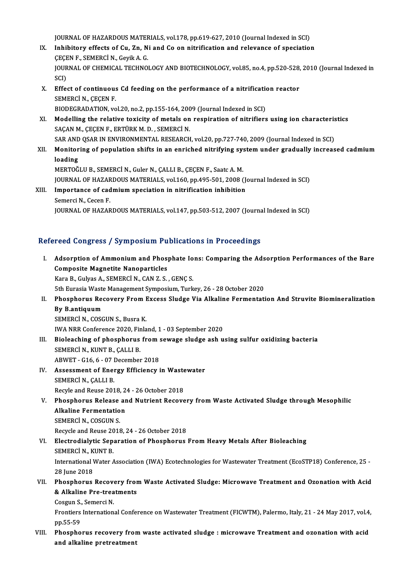JOURNAL OF HAZARDOUS MATERIALS, vol.178, pp.619-627, 2010 (Journal Indexed in SCI)<br>Inhibitory offects of Gu. Zn. Ni and Go on nitrification and relevance of speciation

- JOURNAL OF HAZARDOUS MATERIALS, vol.178, pp.619-627, 2010 (Journal Indexed in SCI)<br>IX. Inhibitory effects of Cu, Zn, Ni and Co on nitrification and relevance of speciation JOURNAL OF HAZARDOUS MATER<br>Inhibitory effects of Cu, Zn, N<br>ÇEÇEN F., SEMERCİ N., Geyik A. G.<br>IOURNAL OF CHEMICAL TECHNO Inhibitory effects of Cu, Zn, Ni and Co on nitrification and relevance of speciation<br>ÇEÇEN F., SEMERCİ N., Geyik A. G.<br>JOURNAL OF CHEMICAL TECHNOLOGY AND BIOTECHNOLOGY, vol.85, no.4, pp.520-528, 2010 (Journal Indexed in<br>SC ÇEÇE<br>JOUR<br>SCI)<br>Effe JOURNAL OF CHEMICAL TECHNOLOGY AND BIOTECHNOLOGY, vol.85, no.4, pp.520-528,<br>SCI)<br>X. Effect of continuous Cd feeding on the performance of a nitrification reactor<br>SEMERCI N. CECEN E
- SCI)<br>Effect of continuous<br>SEMERCI N., ÇEÇEN F.<br>PIODECPADATION YO Effect of continuous Cd feeding on the performance of a nitrification<br>SEMERCI N., ÇEÇEN F.<br>BIODEGRADATION, vol.20, no.2, pp.155-164, 2009 (Journal Indexed in SCI)<br>Modelling the relative toxicity of metals on perpiration of
- SEMERCI N., ÇEÇEN F.<br>BIODEGRADATION, vol.20, no.2, pp.155-164, 2009 (Journal Indexed in SCI)<br>XI. Modelling the relative toxicity of metals on respiration of nitrifiers using ion characteristics<br>SACAN M. CECEN E. EPTÜPK M.D BIODEGRADATION, vol.20, no.2, pp.155-164, 200<br>Modelling the relative toxicity of metals on<br>SAÇAN M., ÇEÇEN F., ERTÜRK M. D. , SEMERCİN.<br>SAR AND OSAR IN ENVIRONMENTAL RESEARCH Modelling the relative toxicity of metals on respiration of nitrifiers using ion characteris<br>SAÇAN M., ÇEÇEN F., ERTÜRK M. D. , SEMERCİ N.<br>SAR AND QSAR IN ENVIRONMENTAL RESEARCH, vol.20, pp.727-740, 2009 (Journal Indexed i SAR AND QSAR IN ENVIRONMENTAL RESEARCH, vol.20, pp.727-740, 2009 (Journal Indexed in SCI)
- SAÇAN M., ÇEÇEN F., ERTÜRK M. D. , SEMERCİ N.<br>SAR AND QSAR IN ENVIRONMENTAL RESEARCH, vol.20, pp.727-740, 2009 (Journal Indexed in SCI)<br>XII. Monitoring of population shifts in an enriched nitrifying system under gradually
	- MERTOĞLU B., SEMERCİN., Guler N., ÇALLI B., ÇEÇEN F., Saatc A.M. loading<br>MERTOĞLU B., SEMERCİ N., Guler N., ÇALLI B., ÇEÇEN F., Saatc A. M.<br>JOURNAL OF HAZARDOUS MATERIALS, vol.160, pp.495-501, 2008 (Journal Indexed in SCI)<br>Importange of gadmium enegistion in nitrification inhibition **JOURNAL OF HAZAR<br>Importance of cad<br>Semerci N., Cecen F.<br>JOUPNAL OF HAZAR**
- XIII. Importance of cadmium speciation in nitrification inhibition<br>Semerci N., Cecen F.

JOURNALOFHAZARDOUSMATERIALS,vol.147,pp.503-512,2007 (Journal Indexed inSCI)

# Refereed Congress / Symposium Publications in Proceedings

- I. Adsorption of Ammoniumand Phosphate Ions: Comparing the Adsorption Performances of the Bare Composite Magnetite Nanoparticles Kara B., Gulyas A., SEMERCİ N., CAN Z. S., GENÇ S. 5th Eurasia Waste Management Symposium, Turkey, 26 - 28 October 2020 Kara B., Gulyas A., SEMERCİ N., CAN Z. S. , GENÇ S.<br>5th Eurasia Waste Management Symposium, Turkey, 26 - 28 October 2020<br>II. Phosphorus Recovery From Excess Sludge Via Alkaline Fermentation And Struvite Biomineralizati **5th Eurasia Waste<br>Phosphorus Ree<br>By B.antiquum<br>SEMEDCI N. COSC** Phosphorus Recovery From I<br>By B.antiquum<br>SEMERCİ N., COSGUN S., Busra K.<br>IWA NPP Conference 2020, Einla By B.antiquum<br>SEMERCİ N., COSGUN S., Busra K.<br>IWA NRR Conference 2020, Finland, 1 - 03 September 2020<br>Biologebing of phoenhorus from seuroge cludge esh u SEMERCİ N., COSGUN S., Busra K.<br>IWA NRR Conference 2020, Finland, 1 - 03 September 2020<br>III. Bioleaching of phosphorus from sewage sludge ash using sulfur oxidizing bacteria<br>SEMERCÌ N. KUNT B. CALLLB IWA NRR Conference 2020, Fir<br>Bioleaching of phosphorus<br>SEMERCİ N., KUNT B., ÇALLI B.<br>APWET. C16.6. AZ Desember Bioleaching of phosphorus from :<br>SEMERCI N., KUNT B., ÇALLI B.<br>ABWET - G16, 6 - 07 December 2018<br>Assessment of Energy Efficiency : SEMERCİ N., KUNT B., ÇALLI B.<br>ABWET - G16, 6 - 07 December 2018<br>IV. Assessment of Energy Efficiency in Wastewater<br>SEMERCI N. CALLLE ABWET - G16, 6 - 07 I<br>Assessment of Ener<br>SEMERCİ N., ÇALLI B.<br>Begyle and Beyse 201 Assessment of Energy Efficiency in Waste<br>SEMERCI N., ÇALLI B.<br>Recyle and Reuse 2018, 24 - 26 October 2018<br>Phosphorus Polosse and Nutriont Peseve SEMERCİ N., ÇALLI B.<br>Recyle and Reuse 2018, 24 - 26 October 2018<br>V. Phosphorus Release and Nutrient Recovery from Waste Activated Sludge through Mesophilic<br>Alkaline Fermentation Recyle and Reuse 2018, 24 - 26 October 2018<br>Phosphorus Release and Nutrient Recove<br>Alkaline Fermentation<br>SEMERCI N., COSGUN S. **Phosphorus Release<br>Alkaline Fermentatio<br>SEMERCİ N., COSGUN S.<br>Bogycla and Bouse 2019** Recycle and Reuse 2018, 24 - 26 October 2018 SEMERCI N., COSGUN S.<br>Recycle and Reuse 2018, 24 - 26 October 2018<br>VI. Electrodialytic Separation of Phosphorus From Heavy Metals After Bioleaching<br>SEMERCI N. KUNT P Recycle and Reuse 20<br>Electrodialytic Sep.<br>SEMERCİ N., KUNT B.<br>International Weter 4 Electrodialytic Separation of Phosphorus From Heavy Metals After Bioleaching<br>SEMERCI N., KUNT B.<br>International Water Association (IWA) Ecotechnologies for Wastewater Treatment (EcoSTP18) Conference, 25 -<br>28 June 2018 SEMERCI N., K<br>International V<br>28 June 2018<br>Pheapherus International Water Association (IWA) Ecotechnologies for Wastewater Treatment (EcoSTP18) Conference, 25 -<br>28 June 2018<br>VII. Phosphorus Recovery from Waste Activated Sludge: Microwave Treatment and Ozonation with Acid 28 June 2018<br>Phosphorus Recovery from<br>& Alkaline Pre-treatments<br>Cessur S. Semersi N **Phosphorus Recover**<br>**& Alkaline Pre-trea**<br>Cosgun S., Semerci N.<br>Frontions Internation & Alkaline Pre-treatments<br>Cosgun S., Semerci N.<br>Frontiers International Conference on Wastewater Treatment (FICWTM), Palermo, Italy, 21 - 24 May 2017, vol.4,<br>PR EE EQ Cosgun S.<br>Frontiers<br>pp.55-59<br>Pheaphe Frontiers International Conference on Wastewater Treatment (FICWTM), Palermo, Italy, 21 - 24 May 2017, vol.4<br>pp.55-59<br>VIII. Phosphorus recovery from waste activated sludge : microwave Treatment and ozonation with acid<br>and
- pp.55-59<br>Phosphorus recovery fror<br>and alkaline pretreatment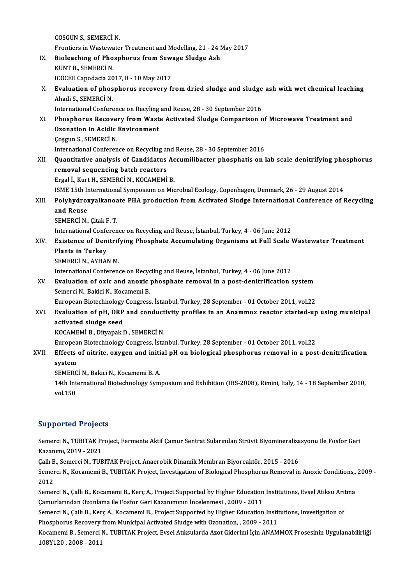COSGUNS.,SEMERCİN. Frontiers in Wastewater Treatment and Modelling, 21 - 24 May 2017 COSGUN S., SEMERCI N.<br>Frontiers in Wastewater Treatment and Modelling, 21 - 24 N<br>IX. Bioleaching of Phosphorus from Sewage Sludge Ash<br>KUNT B. SEMERCI N Frontiers in Wastewa<br>Bioleaching of Pho<br>KUNT B., SEMERCÌ N.<br>ICOCEE Canadasia 20 Bioleaching of Phosphorus from Sew:<br>KUNT B., SEMERCI N.<br>ICOCEE Capodacia 2017, 8 - 10 May 2017<br>Evaluation of phosphorus recovery f KUNT B., SEMERCI N.<br>ICOCEE Capodacia 2017, 8 - 10 May 2017<br>X. Evaluation of phosphorus recovery from dried sludge and sludge ash with wet chemical leaching<br>Abadi S. SEMERCI N ICOCEE Capodacia 2017, 8 - 10 May 2017<br>Evaluation of phosphorus recovery from dried sludge and sludge<br>Ahadi S., SEMERCİN.<br>International Conference on Recyling and Reuse, 28 - 30 September 2016 Evaluation of phosphorus recovery from dried sludge and sludge<br>Ahadi S., SEMERCI N.<br>International Conference on Recyling and Reuse, 28 - 30 September 2016<br>Phosphorus Besevery from Waste Astivated Sludge Comparison s Ahadi S., SEMERCI N.<br>International Conference on Recyling and Reuse, 28 - 30 September 2016<br>XI. Phosphorus Recovery from Waste Activated Sludge Comparison of Microwave Treatment and<br>Orenation in Acidic Environment International Conference on Recyling<br>Phosphorus Recovery from Wast<br>Ozonation in Acidic Environment<br>Cossun S. SEMERCI N Phosphorus Recove:<br>Ozonation in Acidic<br>Çoşgun S., SEMERCİ N.<br>International Conferen Ozonation in Acidic Environment<br>Cosgun S., SEMERCI N.<br>International Conference on Recycling and Reuse, 28 - 30 September 2016 XII. Quantitative analysis of Candidatus Accumilibacter phosphatis on lab scale denitrifying phosphorus International Conference on Recycling an<br>Quantitative analysis of Candidatus<br>removal sequencing batch reactors Quantitative analysis of Candidatus Ac<br>removal sequencing batch reactors<br>Ergal İ., Kurt H., SEMERCİ N., KOCAMEMİ B.<br>ISME 15th International Sumnesium en Mic Ergal İ., Kurt H., SEMERCİ N., KOCAMEMİ B.<br>ISME 15th International Symposium on Microbial Ecology, Copenhagen, Denmark, 26 - 29 August 2014 Ergal İ., Kurt H., SEMERCİ N., KOCAMEMİ B.<br>ISME 15th International Symposium on Microbial Ecology, Copenhagen, Denmark, 26 - 29 August 2014<br>XIII. Polyhydroxyalkanoate PHA production from Activated Sludge International **ISME 15th In<br>Polyhydro:<br>and Reuse<br>SEMERCI N** Polyhydroxyalkanoa<br>and Reuse<br>SEMERCİ N., Çitak F. T.<br>International Conferen and Reuse<br>SEMERCI N., Çitak F. T.<br>International Conference on Recycling and Reuse, İstanbul, Turkey, 4 - 06 June 2012<br>Evistence of Denitrifying Phoenhate Assumulating Organisme et Eull Scale I SEMERCİ N., Çitak F. T.<br>International Conference on Recycling and Reuse, İstanbul, Turkey, 4 - 06 June 2012<br>XIV. Existence of Denitrifying Phosphate Accumulating Organisms at Full Scale Wastewater Treatment<br>Plants in T International Confe<br>Existence of Den<br>Plants in Turkey<br>SEMERCI N AVHAL Existence of Denitrif<br>Plants in Turkey<br>SEMERCİ N., AYHAN M.<br>International Conferenc Plants in Turkey<br>SEMERCİ N., AYHAN M.<br>International Conference on Recycling and Reuse, İstanbul, Turkey, 4 - 06 June 2012<br>Fyaluation of oxis and anoxis phosphate removal in a post denitrification s SEMERCI N., AYHAN M.<br>International Conference on Recycling and Reuse, İstanbul, Turkey, 4 - 06 June 2012<br>XV. Evaluation of oxic and anoxic phosphate removal in a post-denitrification system<br>Semerci N., Bakici N., Kocamemi International Conference on Recyc<br>**Evaluation of oxic and anoxic**<br>Semerci N., Bakici N., Kocamemi B.<br>Euronean Biotechnology Consress EuropeanBiotechnologyCongress, İstanbul,Turkey,28 September -01October 2011,vol.22 Semerci N., Bakici N., Kocamemi B.<br>European Biotechnology Congress, İstanbul, Turkey, 28 September - 01 October 2011, vol.22<br>XVI. Braluation of pH, ORP and conductivity profiles in an Anammox reactor started-up using munic activated sludge seed<br>KOCAMEMI B., Dityapak D., SEMERCI N. Evaluation of pH, ORP and conduct<br>activated sludge seed<br>KOCAMEMİ B., Dityapak D., SEMERCİ N.<br>European Bietechnology Congress, İsta EuropeanBiotechnologyCongress, İstanbul,Turkey,28 September -01October 2011,vol.22 KOCAMEMİ B., Dityapak D., SEMERCİ N.<br>European Biotechnology Congress, İstanbul, Turkey, 28 September - 01 October 2011, vol.22<br>XVII. Effects of nitrite, oxygen and initial pH on biological phosphorus removal in a post-deni Europea<br><mark>Effects</mark><br>system<br>semenci Effects of nitrite, oxygen and initi<br>system<br>SEMERCİ N., Bakici N., Kocamemi B. A.<br>14th International Bistechnology Sym s**ystem**<br>SEMERCİ N., Bakici N., Kocamemi B. A.<br>14th International Biotechnology Symposium and Exhibition (IBS-2008), Rimini, Italy, 14 - 18 September 2010,<br>vol.150 SEMERC<br>14th Int<br>vol.150 vol.150<br>Supported Projects

Supported Projects<br>Semerci N., TUBITAK Project, Fermente Aktif Çamur Sentrat Sularından Strüvit Biyomineralizasyonu Ile Fosfor Geri<br>Kazanımı, 2019, ...2021 Supported 119966<br>Semerci N., TUBITAK Pr<br>Kazanımı, 2019 - 2021<br>Celli B., Semerci N., TUB Semerci N., TUBITAK Project, Fermente Aktif Çamur Sentrat Sularından Strüvit Biyomineraliza<br>Kazanımı, 2019 - 2021<br>Çallı B., Semerci N., TUBITAK Project, Anaerobik Dinamik Membran Biyoreaktör, 2015 - 2016<br>Semerci N., Kasama

Kazanımı, 2019 - 2021<br>Çallı B., Semerci N., TUBITAK Project, Anaerobik Dinamik Membran Biyoreaktör, 2015 - 2016<br>Semerci N., Kocamemi B., TUBITAK Project, Investigation of Biological Phosphorus Removal in Anoxic Conditions" Callı B<br>Semer<br>2012<br>Semer Semerci N., Kocamemi B., TUBITAK Project, Investigation of Biological Phosphorus Removal in Anoxic Conditions,<br>2012<br>Semerci N., Çallı B., Kocamemi B., Kerç A., Project Supported by Higher Education Institutions, Evsel Atık

2012<br>Semerci N., Çallı B., Kocamemi B., Kerç A., Project Supported by Higher Education<br>Çamurlarından Ozonlama ile Fosfor Geri Kazanımının İncelenmesi , 2009 - 2011<br>Semergi N. Çallı B. Kara A. Kazamami B. Project Supported Semerci N., Çallı B., Kocamemi B., Kerç A., Project Supported by Higher Education Institutions, Evsel Atıksu Arı<br>Çamurlarından Ozonlama ile Fosfor Geri Kazanımının İncelenmesi , 2009 - 2011<br>Semerci N., Çallı B., Kerç A., K

Camurlarından Ozonlama ile Fosfor Geri Kazanımının İncelenmesi , 2009 - 2011<br>Semerci N., Çallı B., Kerç A., Kocamemi B., Project Supported by Higher Education Institutions, Investigation of<br>Phosphorus Recovery from Municip Semerci N., Çallı B., Kerç A., Kocamemi B., Project Supported by Higher Education Institutions, Investigation of<br>Phosphorus Recovery from Municipal Activated Sludge with Ozonation, , 2009 - 2011<br>Kocamemi B., Semerci N., TU

Phosphorus Recovery<br>Kocamemi B., Semerci I<br>108Y120 , 2008 - 2011